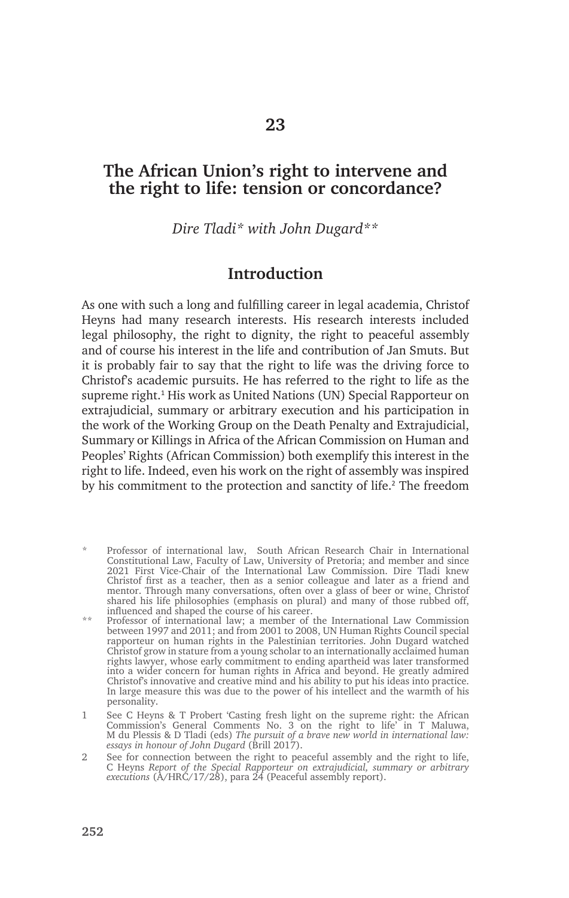# **The African Union's right to intervene and the right to life: tension or concordance?**

*Dire Tladi\* with John Dugard\*\**

## **Introduction**

As one with such a long and fulfilling career in legal academia, Christof Heyns had many research interests. His research interests included legal philosophy, the right to dignity, the right to peaceful assembly and of course his interest in the life and contribution of Jan Smuts. But it is probably fair to say that the right to life was the driving force to Christof's academic pursuits. He has referred to the right to life as the supreme right.<sup>1</sup> His work as United Nations (UN) Special Rapporteur on extrajudicial, summary or arbitrary execution and his participation in the work of the Working Group on the Death Penalty and Extrajudicial, Summary or Killings in Africa of the African Commission on Human and Peoples' Rights (African Commission) both exemplify this interest in the right to life. Indeed, even his work on the right of assembly was inspired by his commitment to the protection and sanctity of life.<sup>2</sup> The freedom

- Professor of international law, South African Research Chair in International Constitutional Law, Faculty of Law, University of Pretoria; and member and since 2021 First Vice-Chair of the International Law Commission. Dire Tladi knew Christof first as a teacher, then as a senior colleague and later as a friend and mentor. Through many conversations, often over a glass of beer or wine, Christof shared his life philosophies (emphasis on plural) and many of those rubbed off, influenced and shaped the course of his career.
- \*\* Professor of international law; a member of the International Law Commission between 1997 and 2011; and from 2001 to 2008, UN Human Rights Council special rapporteur on human rights in the Palestinian territories. John Dugard watched Christof grow in stature from a young scholar to an internationally acclaimed human rights lawyer, whose early commitment to ending apartheid was later transformed into a wider concern for human rights in Africa and beyond. He greatly admired Christof's innovative and creative mind and his ability to put his ideas into practice. In large measure this was due to the power of his intellect and the warmth of his personality.
- 1 See C Heyns & T Probert 'Casting fresh light on the supreme right: the African Commission's General Comments No. 3 on the right to life' in T Maluwa, M du Plessis & D Tladi (eds) *The pursuit of a brave new world in international law: essays in honour of John Dugard* (Brill 2017).
- 2 See for connection between the right to peaceful assembly and the right to life, C Heyns *Report of the Special Rapporteur on extrajudicial, summary or arbitrary executions* (A/HRC/17/28), para 24 (Peaceful assembly report).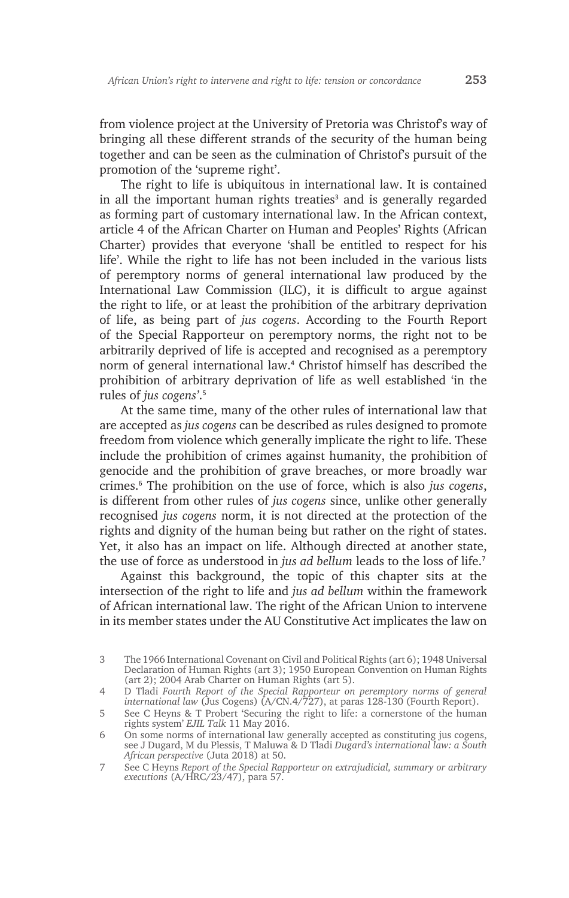from violence project at the University of Pretoria was Christof's way of bringing all these different strands of the security of the human being together and can be seen as the culmination of Christof's pursuit of the promotion of the 'supreme right'.

The right to life is ubiquitous in international law. It is contained in all the important human rights treaties<sup>3</sup> and is generally regarded as forming part of customary international law. In the African context, article 4 of the African Charter on Human and Peoples' Rights (African Charter) provides that everyone 'shall be entitled to respect for his life'. While the right to life has not been included in the various lists of peremptory norms of general international law produced by the International Law Commission (ILC), it is difficult to argue against the right to life, or at least the prohibition of the arbitrary deprivation of life, as being part of *jus cogens*. According to the Fourth Report of the Special Rapporteur on peremptory norms, the right not to be arbitrarily deprived of life is accepted and recognised as a peremptory norm of general international law.<sup>4</sup> Christof himself has described the prohibition of arbitrary deprivation of life as well established 'in the rules of *jus cogens'*. 5

At the same time, many of the other rules of international law that are accepted as *jus cogens* can be described as rules designed to promote freedom from violence which generally implicate the right to life. These include the prohibition of crimes against humanity, the prohibition of genocide and the prohibition of grave breaches, or more broadly war crimes.<sup>6</sup> The prohibition on the use of force, which is also *jus cogens*, is different from other rules of *jus cogens* since, unlike other generally recognised *jus cogens* norm, it is not directed at the protection of the rights and dignity of the human being but rather on the right of states. Yet, it also has an impact on life. Although directed at another state, the use of force as understood in *jus ad bellum* leads to the loss of life.<sup>7</sup>

Against this background, the topic of this chapter sits at the intersection of the right to life and *jus ad bellum* within the framework of African international law. The right of the African Union to intervene in its member states under the AU Constitutive Act implicates the law on

<sup>3</sup> The 1966 International Covenant on Civil and Political Rights (art 6); 1948 Universal Declaration of Human Rights (art 3); 1950 European Convention on Human Rights (art 2); 2004 Arab Charter on Human Rights (art 5).

<sup>4</sup> D Tladi *Fourth Report of the Special Rapporteur on peremptory norms of general international law* (Jus Cogens) (A/CN.4/727), at paras 128-130 (Fourth Report).

<sup>5</sup> See C Heyns & T Probert 'Securing the right to life: a cornerstone of the human rights system' *EJIL Talk* 11 May 2016.

<sup>6</sup> On some norms of international law generally accepted as constituting jus cogens, see J Dugard, M du Plessis, T Maluwa & D Tladi *Dugard's international law: a South African perspective* (Juta 2018) at 50.

<sup>7</sup> See C Heyns *Report of the Special Rapporteur on extrajudicial, summary or arbitrary executions* (A/HRC/23/47), para 57.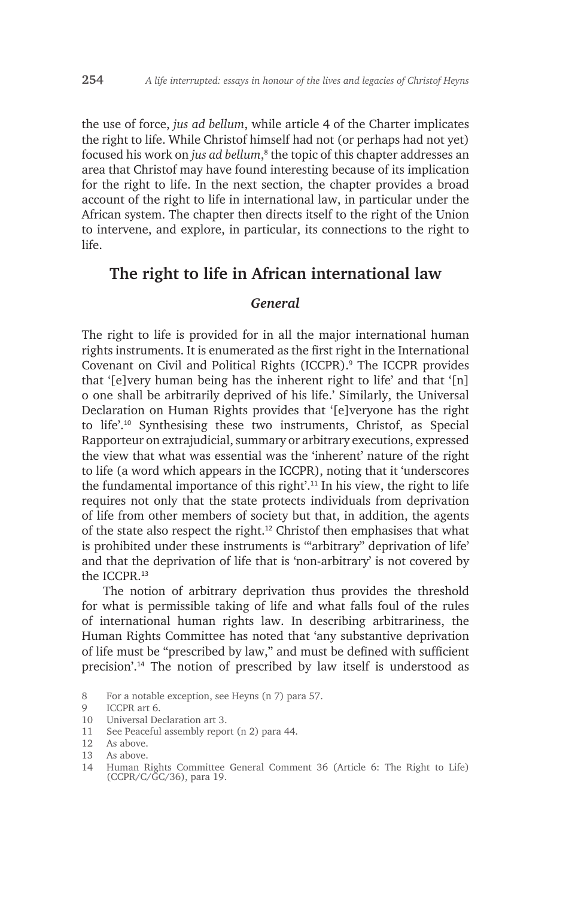the use of force, *jus ad bellum*, while article 4 of the Charter implicates the right to life. While Christof himself had not (or perhaps had not yet) focused his work on *jus ad bellum*, 8 the topic of this chapter addresses an area that Christof may have found interesting because of its implication for the right to life. In the next section, the chapter provides a broad account of the right to life in international law, in particular under the African system. The chapter then directs itself to the right of the Union to intervene, and explore, in particular, its connections to the right to life.

## **The right to life in African international law**

#### *General*

The right to life is provided for in all the major international human rights instruments. It is enumerated as the first right in the International Covenant on Civil and Political Rights (ICCPR).<sup>9</sup> The ICCPR provides that '[e]very human being has the inherent right to life' and that '[n] o one shall be arbitrarily deprived of his life.' Similarly, the Universal Declaration on Human Rights provides that '[e]veryone has the right to life'.10 Synthesising these two instruments, Christof, as Special Rapporteur on extrajudicial, summary or arbitrary executions, expressed the view that what was essential was the 'inherent' nature of the right to life (a word which appears in the ICCPR), noting that it 'underscores the fundamental importance of this right'.11 In his view, the right to life requires not only that the state protects individuals from deprivation of life from other members of society but that, in addition, the agents of the state also respect the right.12 Christof then emphasises that what is prohibited under these instruments is '"arbitrary" deprivation of life' and that the deprivation of life that is 'non-arbitrary' is not covered by the ICCPR<sup>13</sup>

The notion of arbitrary deprivation thus provides the threshold for what is permissible taking of life and what falls foul of the rules of international human rights law. In describing arbitrariness, the Human Rights Committee has noted that 'any substantive deprivation of life must be "prescribed by law," and must be defined with sufficient precision'.14 The notion of prescribed by law itself is understood as

- 10 Universal Declaration art 3.
- 11 See Peaceful assembly report (n 2) para 44.

<sup>8</sup> For a notable exception, see Heyns (n 7) para 57.

<sup>9</sup> ICCPR art 6.

<sup>12</sup> As above.

<sup>13</sup> As above.

<sup>14</sup> Human Rights Committee General Comment 36 (Article 6: The Right to Life) (CCPR/C/GC/36), para 19.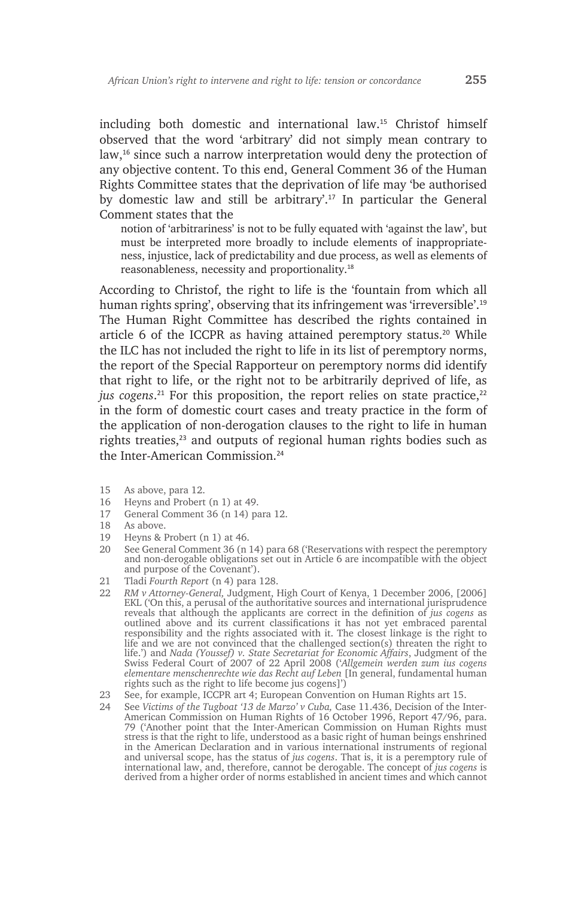including both domestic and international law.15 Christof himself observed that the word 'arbitrary' did not simply mean contrary to law,16 since such a narrow interpretation would deny the protection of any objective content. To this end, General Comment 36 of the Human Rights Committee states that the deprivation of life may 'be authorised by domestic law and still be arbitrary'.17 In particular the General Comment states that the

notion of 'arbitrariness' is not to be fully equated with 'against the law', but must be interpreted more broadly to include elements of inappropriateness, injustice, lack of predictability and due process, as well as elements of reasonableness, necessity and proportionality.<sup>18</sup>

According to Christof, the right to life is the 'fountain from which all human rights spring', observing that its infringement was 'irreversible'.<sup>19</sup> The Human Right Committee has described the rights contained in article 6 of the ICCPR as having attained peremptory status.<sup>20</sup> While the ILC has not included the right to life in its list of peremptory norms, the report of the Special Rapporteur on peremptory norms did identify that right to life, or the right not to be arbitrarily deprived of life, as jus cogens.<sup>21</sup> For this proposition, the report relies on state practice,<sup>22</sup> in the form of domestic court cases and treaty practice in the form of the application of non-derogation clauses to the right to life in human rights treaties,<sup>23</sup> and outputs of regional human rights bodies such as the Inter-American Commission<sup>24</sup>

- 15 As above, para 12.
- 16 Heyns and Probert (n 1) at 49.
- 17 General Comment 36 (n 14) para 12.
- 18 As above.
- 19 Heyns & Probert (n 1) at 46.
- 20 See General Comment 36 (n 14) para 68 ('Reservations with respect the peremptory and non-derogable obligations set out in Article 6 are incompatible with the object and purpose of the Covenant').
- 21 Tladi *Fourth Report* (n 4) para 128.
- 22 *RM v Attorney-General,* Judgment, High Court of Kenya, 1 December 2006, [2006] EKL ('On this, a perusal of the authoritative sources and international jurisprudence reveals that although the applicants are correct in the definition of *jus cogens* as outlined above and its current classifications it has not yet embraced parental responsibility and the rights associated with it. The closest linkage is the right to life and we are not convinced that the challenged section(s) threaten the right to life.') and *Nada (Youssef) v. State Secretariat for Economic Affairs*, Judgment of the Swiss Federal Court of 2007 of 22 April 2008 ('*Allgemein werden zum ius cogens elementare menschenrechte wie das Recht auf Leben* [In general, fundamental human rights such as the right to life become jus cogens]')
- 23 See, for example, ICCPR art 4; European Convention on Human Rights art 15.
- 24 See *Victims of the Tugboat '13 de Marzo' v Cuba,* Case 11.436, Decision of the Inter-American Commission on Human Rights of 16 October 1996, Report 47/96, para. 79 ('Another point that the Inter-American Commission on Human Rights must stress is that the right to life, understood as a basic right of human beings enshrined in the American Declaration and in various international instruments of regional and universal scope, has the status of *jus cogens*. That is, it is a peremptory rule of international law, and, therefore, cannot be derogable. The concept of *jus cogens* is derived from a higher order of norms established in ancient times and which cannot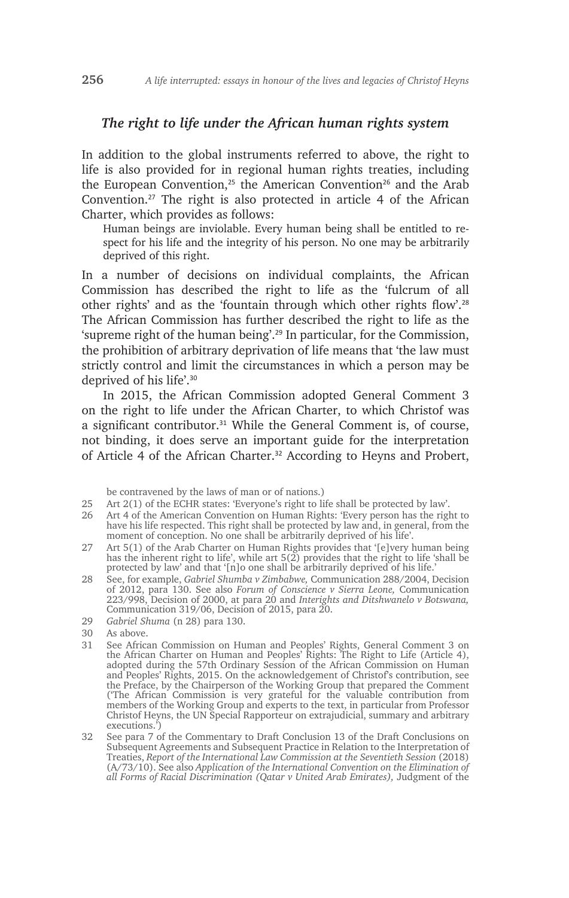#### *The right to life under the African human rights system*

In addition to the global instruments referred to above, the right to life is also provided for in regional human rights treaties, including the European Convention,<sup>25</sup> the American Convention<sup>26</sup> and the Arab Convention.27 The right is also protected in article 4 of the African Charter, which provides as follows:

Human beings are inviolable. Every human being shall be entitled to respect for his life and the integrity of his person. No one may be arbitrarily deprived of this right.

In a number of decisions on individual complaints, the African Commission has described the right to life as the 'fulcrum of all other rights' and as the 'fountain through which other rights flow'.<sup>28</sup> The African Commission has further described the right to life as the 'supreme right of the human being'.29 In particular, for the Commission, the prohibition of arbitrary deprivation of life means that 'the law must strictly control and limit the circumstances in which a person may be deprived of his life'.<sup>30</sup>

In 2015, the African Commission adopted General Comment 3 on the right to life under the African Charter, to which Christof was a significant contributor.<sup>31</sup> While the General Comment is, of course, not binding, it does serve an important guide for the interpretation of Article 4 of the African Charter.<sup>32</sup> According to Heyns and Probert,

be contravened by the laws of man or of nations.)

25 Art 2(1) of the ECHR states: 'Everyone's right to life shall be protected by law'.

- 26 Art 4 of the American Convention on Human Rights: 'Every person has the right to have his life respected. This right shall be protected by law and, in general, from the moment of conception. No one shall be arbitrarily deprived of his life'.
- 27 Art 5(1) of the Arab Charter on Human Rights provides that '[e]very human being has the inherent right to life', while art 5(2) provides that the right to life 'shall be protected by law' and that '[n]o one shall be arbitrarily deprived of his life.'
- 28 See, for example, *Gabriel Shumba v Zimbabwe,* Communication 288/2004, Decision of 2012, para 130. See also *Forum of Conscience v Sierra Leone,* Communication 223/998, Decision of 2000, at para 20 and *Interights and Ditshwanelo v Botswana,*  Communication 319/06, Decision of 2015, para 20.
- 29 *Gabriel Shuma* (n 28) para 130.
- 30 As above.
- 31 See African Commission on Human and Peoples' Rights, General Comment 3 on the African Charter on Human and Peoples' Rights: The Right to Life (Article 4), adopted during the 57th Ordinary Session of the African Commission on Human and Peoples' Rights, 2015. On the acknowledgement of Christof's contribution, see the Preface, by the Chairperson of the Working Group that prepared the Comment ('The African Commission is very grateful for the valuable contribution from members of the Working Group and experts to the text, in particular from Professor Christof Heyns, the UN Special Rapporteur on extrajudicial, summary and arbitrary executions.')
- 32 See para 7 of the Commentary to Draft Conclusion 13 of the Draft Conclusions on Subsequent Agreements and Subsequent Practice in Relation to the Interpretation of Treaties, *Report of the International Law Commission at the Seventieth Session* (2018) (A/73/10). See also *Application of the International Convention on the Elimination of all Forms of Racial Discrimination (Qatar v United Arab Emirates),* Judgment of the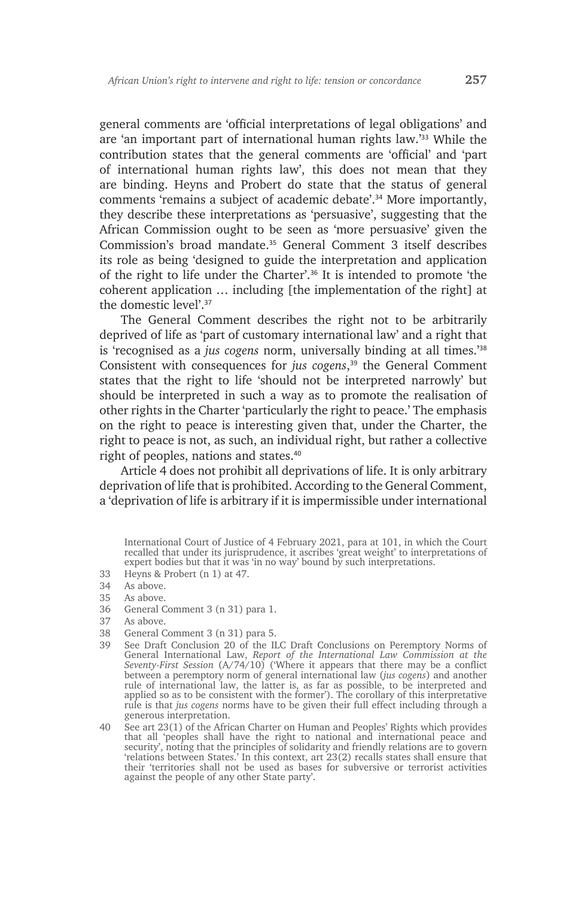general comments are 'official interpretations of legal obligations' and are 'an important part of international human rights law.'33 While the contribution states that the general comments are 'official' and 'part of international human rights law', this does not mean that they are binding. Heyns and Probert do state that the status of general comments 'remains a subject of academic debate'.34 More importantly, they describe these interpretations as 'persuasive', suggesting that the African Commission ought to be seen as 'more persuasive' given the Commission's broad mandate.35 General Comment 3 itself describes its role as being 'designed to guide the interpretation and application of the right to life under the Charter'.36 It is intended to promote 'the coherent application … including [the implementation of the right] at the domestic level'.<sup>37</sup>

The General Comment describes the right not to be arbitrarily deprived of life as 'part of customary international law' and a right that is 'recognised as a *jus cogens* norm, universally binding at all times.'<sup>38</sup> Consistent with consequences for *jus cogens*, <sup>39</sup> the General Comment states that the right to life 'should not be interpreted narrowly' but should be interpreted in such a way as to promote the realisation of other rights in the Charter 'particularly the right to peace.' The emphasis on the right to peace is interesting given that, under the Charter, the right to peace is not, as such, an individual right, but rather a collective right of peoples, nations and states.<sup>40</sup>

Article 4 does not prohibit all deprivations of life. It is only arbitrary deprivation of life that is prohibited. According to the General Comment, a 'deprivation of life is arbitrary if it is impermissible under international

33 Heyns & Probert (n 1) at 47.

- 36 General Comment 3 (n 31) para 1.
- As above.
- 38 General Comment 3 (n 31) para 5.
- 39 See Draft Conclusion 20 of the ILC Draft Conclusions on Peremptory Norms of General International Law, *Report of the International Law Commission at the Seventy-First Session* (A/74/10) ('Where it appears that there may be a conflict between a peremptory norm of general international law (*jus cogens*) and another rule of international law, the latter is, as far as possible, to be interpreted and applied so as to be consistent with the former'). The corollary of this interpretative rule is that *jus cogens* norms have to be given their full effect including through a generous interpretation.
- 40 See art 23(1) of the African Charter on Human and Peoples' Rights which provides that all 'peoples shall have the right to national and international peace and security', noting that the principles of solidarity and friendly relations are to govern 'relations between States.' In this context, art 23(2) recalls states shall ensure that their 'territories shall not be used as bases for subversive or terrorist activities against the people of any other State party'.

International Court of Justice of 4 February 2021, para at 101, in which the Court recalled that under its jurisprudence, it ascribes 'great weight' to interpretations of expert bodies but that it was 'in no way' bound by such interpretations.

<sup>34</sup> As above.

<sup>35</sup> As above.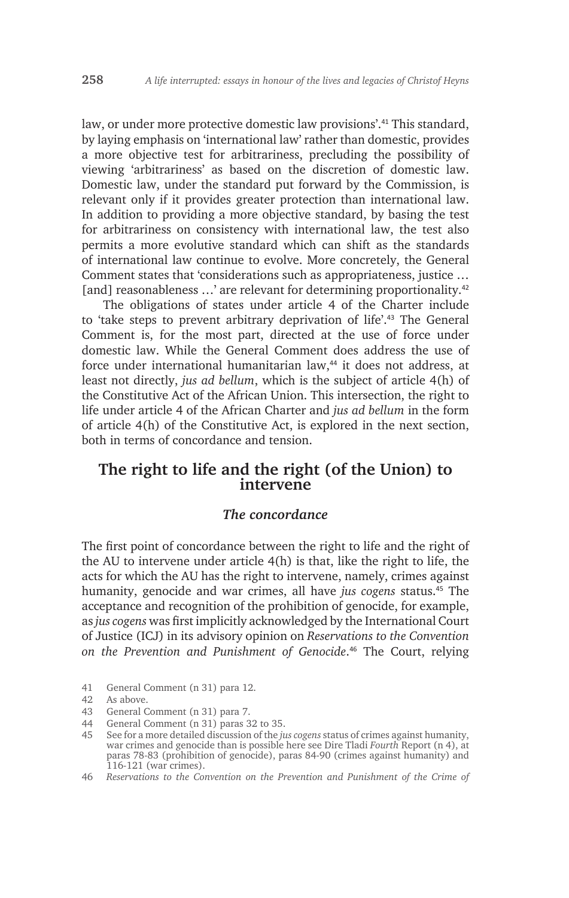law, or under more protective domestic law provisions'.<sup>41</sup> This standard, by laying emphasis on 'international law' rather than domestic, provides a more objective test for arbitrariness, precluding the possibility of viewing 'arbitrariness' as based on the discretion of domestic law. Domestic law, under the standard put forward by the Commission, is relevant only if it provides greater protection than international law. In addition to providing a more objective standard, by basing the test for arbitrariness on consistency with international law, the test also permits a more evolutive standard which can shift as the standards of international law continue to evolve. More concretely, the General Comment states that 'considerations such as appropriateness, justice … [and] reasonableness ...' are relevant for determining proportionality.<sup>42</sup>

The obligations of states under article 4 of the Charter include to 'take steps to prevent arbitrary deprivation of life'.43 The General Comment is, for the most part, directed at the use of force under domestic law. While the General Comment does address the use of force under international humanitarian law,<sup>44</sup> it does not address, at least not directly, *jus ad bellum*, which is the subject of article 4(h) of the Constitutive Act of the African Union. This intersection, the right to life under article 4 of the African Charter and *jus ad bellum* in the form of article 4(h) of the Constitutive Act, is explored in the next section, both in terms of concordance and tension.

# **The right to life and the right (of the Union) to intervene**

#### *The concordance*

The first point of concordance between the right to life and the right of the AU to intervene under article 4(h) is that, like the right to life, the acts for which the AU has the right to intervene, namely, crimes against humanity, genocide and war crimes, all have *jus cogens* status.45 The acceptance and recognition of the prohibition of genocide, for example, as *jus cogens* was first implicitly acknowledged by the International Court of Justice (ICJ) in its advisory opinion on *Reservations to the Convention on the Prevention and Punishment of Genocide*. <sup>46</sup> The Court, relying

41 General Comment (n 31) para 12.

- 43 General Comment (n 31) para 7.
- 44 General Comment (n 31) paras 32 to 35.
- 45 See for a more detailed discussion of the *jus cogens* status of crimes against humanity, war crimes and genocide than is possible here see Dire Tladi *Fourth* Report (n 4), at paras 78-83 (prohibition of genocide), paras 84-90 (crimes against humanity) and 116-121 (war crimes).
- 46 *Reservations to the Convention on the Prevention and Punishment of the Crime of*

<sup>42</sup> As above.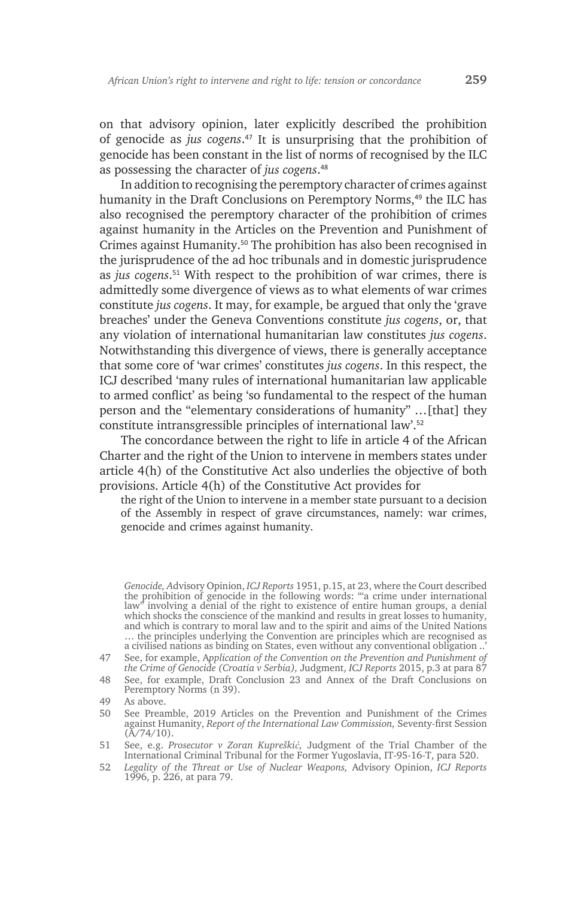on that advisory opinion, later explicitly described the prohibition of genocide as *jus cogens*. <sup>47</sup> It is unsurprising that the prohibition of genocide has been constant in the list of norms of recognised by the ILC as possessing the character of *jus cogens*. 48

In addition to recognising the peremptory character of crimes against humanity in the Draft Conclusions on Peremptory Norms,<sup>49</sup> the ILC has also recognised the peremptory character of the prohibition of crimes against humanity in the Articles on the Prevention and Punishment of Crimes against Humanity.50 The prohibition has also been recognised in the jurisprudence of the ad hoc tribunals and in domestic jurisprudence as *jus cogens*. <sup>51</sup> With respect to the prohibition of war crimes, there is admittedly some divergence of views as to what elements of war crimes constitute *jus cogens*. It may, for example, be argued that only the 'grave breaches' under the Geneva Conventions constitute *jus cogens*, or, that any violation of international humanitarian law constitutes *jus cogens*. Notwithstanding this divergence of views, there is generally acceptance that some core of 'war crimes' constitutes *jus cogens*. In this respect, the ICJ described 'many rules of international humanitarian law applicable to armed conflict' as being 'so fundamental to the respect of the human person and the "elementary considerations of humanity" …[that] they constitute intransgressible principles of international law'.<sup>52</sup>

The concordance between the right to life in article 4 of the African Charter and the right of the Union to intervene in members states under article 4(h) of the Constitutive Act also underlies the objective of both provisions. Article 4(h) of the Constitutive Act provides for

the right of the Union to intervene in a member state pursuant to a decision of the Assembly in respect of grave circumstances, namely: war crimes, genocide and crimes against humanity.

*Genocide, A*dvisory Opinion, *ICJ Reports* 1951, p.15, at 23, where the Court described the prohibition of genocide in the following words: '"a crime under international law" involving a denial of the right to existence of entire human groups, a denial which shocks the conscience of the mankind and results in great losses to humanity, and which is contrary to moral law and to the spirit and aims of the United Nations ... the principles underlying the Convention are principles which are recognised as a civilised nations as binding on States, even without any conventional obligation ..'

<sup>47</sup> See, for example, A*pplication of the Convention on the Prevention and Punishment of the Crime of Genocide (Croatia v Serbia),* Judgment, *ICJ Reports* 2015, p.3 at para 87

<sup>48</sup> See, for example, Draft Conclusion 23 and Annex of the Draft Conclusions on Peremptory Norms (n 39).

<sup>49</sup> As above.

<sup>50</sup> See Preamble, 2019 Articles on the Prevention and Punishment of the Crimes against Humanity, *Report of the International Law Commission,* Seventy-first Session  $(A/74/10)$ .

<sup>51</sup> See, e.g. *Prosecutor v Zoran Kupreškić,* Judgment of the Trial Chamber of the International Criminal Tribunal for the Former Yugoslavia, IT-95-16-T, para 520.

<sup>52</sup> *Legality of the Threat or Use of Nuclear Weapons,* Advisory Opinion, *ICJ Reports*  1996, p. 226, at para 79.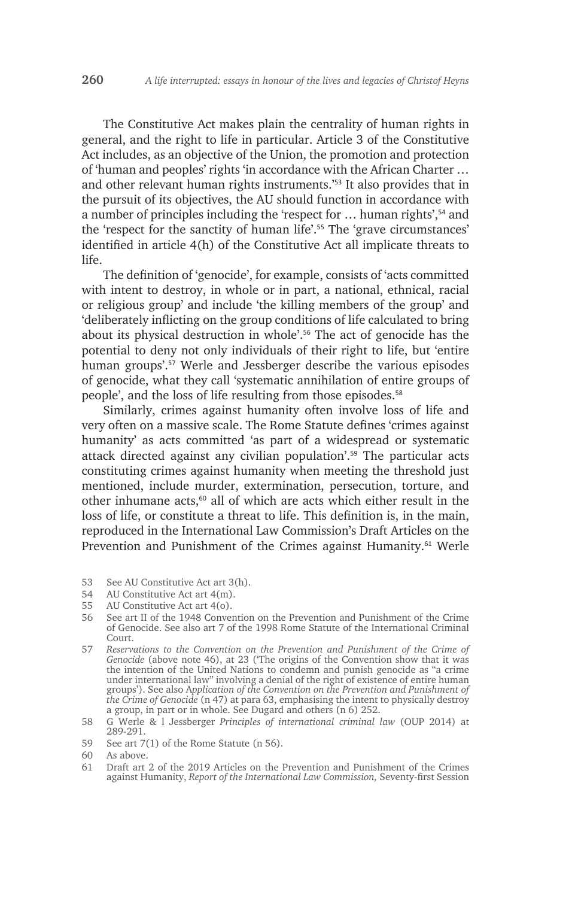The Constitutive Act makes plain the centrality of human rights in general, and the right to life in particular. Article 3 of the Constitutive Act includes, as an objective of the Union, the promotion and protection of 'human and peoples' rights 'in accordance with the African Charter … and other relevant human rights instruments.'53 It also provides that in the pursuit of its objectives, the AU should function in accordance with a number of principles including the 'respect for ... human rights',<sup>54</sup> and the 'respect for the sanctity of human life'.55 The 'grave circumstances' identified in article 4(h) of the Constitutive Act all implicate threats to life.

The definition of 'genocide', for example, consists of 'acts committed with intent to destroy, in whole or in part, a national, ethnical, racial or religious group' and include 'the killing members of the group' and 'deliberately inflicting on the group conditions of life calculated to bring about its physical destruction in whole'.<sup>56</sup> The act of genocide has the potential to deny not only individuals of their right to life, but 'entire human groups'.<sup>57</sup> Werle and Jessberger describe the various episodes of genocide, what they call 'systematic annihilation of entire groups of people', and the loss of life resulting from those episodes.<sup>58</sup>

Similarly, crimes against humanity often involve loss of life and very often on a massive scale. The Rome Statute defines 'crimes against humanity' as acts committed 'as part of a widespread or systematic attack directed against any civilian population'.59 The particular acts constituting crimes against humanity when meeting the threshold just mentioned, include murder, extermination, persecution, torture, and other inhumane acts, $60$  all of which are acts which either result in the loss of life, or constitute a threat to life. This definition is, in the main, reproduced in the International Law Commission's Draft Articles on the Prevention and Punishment of the Crimes against Humanity.<sup>61</sup> Werle

- 53 See AU Constitutive Act art 3(h).<br>54 AU Constitutive Act art 4(m).
- AU Constitutive Act art 4(m).
- 55 AU Constitutive Act art 4(o).
- 56 See art II of the 1948 Convention on the Prevention and Punishment of the Crime of Genocide. See also art 7 of the 1998 Rome Statute of the International Criminal Court.
- 57 *Reservations to the Convention on the Prevention and Punishment of the Crime of Genocide* (above note 46), at 23 ('The origins of the Convention show that it was the intention of the United Nations to condemn and punish genocide as "a crime under international law" involving a denial of the right of existence of entire human groups'). See also A*pplication of the Convention on the Prevention and Punishment of the Crime of Genocide* (n 47) at para 63, emphasising the intent to physically destroy a group, in part or in whole. See Dugard and others (n 6) 252.
- 58 G Werle & l Jessberger *Principles of international criminal law* (OUP 2014) at 289-291.
- 59 See art 7(1) of the Rome Statute (n 56).

<sup>60</sup> As above.<br>61 Draft art

<sup>61</sup> Draft art 2 of the 2019 Articles on the Prevention and Punishment of the Crimes against Humanity, *Report of the International Law Commission,* Seventy-first Session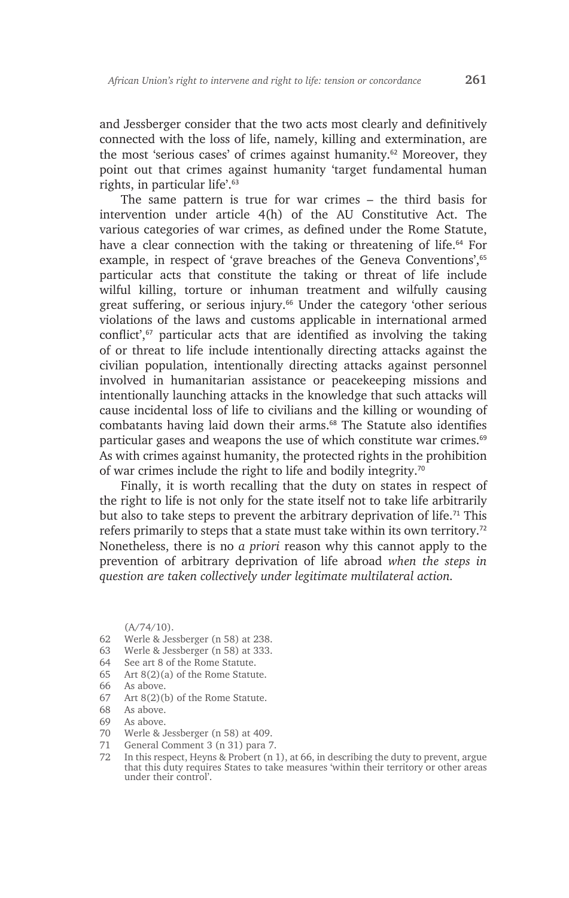and Jessberger consider that the two acts most clearly and definitively connected with the loss of life, namely, killing and extermination, are the most 'serious cases' of crimes against humanity.<sup>62</sup> Moreover, they point out that crimes against humanity 'target fundamental human rights, in particular life'.<sup>63</sup>

The same pattern is true for war crimes – the third basis for intervention under article 4(h) of the AU Constitutive Act. The various categories of war crimes, as defined under the Rome Statute, have a clear connection with the taking or threatening of life.<sup>64</sup> For example, in respect of 'grave breaches of the Geneva Conventions',<sup>65</sup> particular acts that constitute the taking or threat of life include wilful killing, torture or inhuman treatment and wilfully causing great suffering, or serious injury.<sup>66</sup> Under the category 'other serious violations of the laws and customs applicable in international armed conflict',<sup>67</sup> particular acts that are identified as involving the taking of or threat to life include intentionally directing attacks against the civilian population, intentionally directing attacks against personnel involved in humanitarian assistance or peacekeeping missions and intentionally launching attacks in the knowledge that such attacks will cause incidental loss of life to civilians and the killing or wounding of combatants having laid down their arms.<sup>68</sup> The Statute also identifies particular gases and weapons the use of which constitute war crimes.<sup>69</sup> As with crimes against humanity, the protected rights in the prohibition of war crimes include the right to life and bodily integrity.<sup>70</sup>

Finally, it is worth recalling that the duty on states in respect of the right to life is not only for the state itself not to take life arbitrarily but also to take steps to prevent the arbitrary deprivation of life.<sup>71</sup> This refers primarily to steps that a state must take within its own territory.<sup>72</sup> Nonetheless, there is no *a priori* reason why this cannot apply to the prevention of arbitrary deprivation of life abroad *when the steps in question are taken collectively under legitimate multilateral action.*

 $(A/74/10)$ .

- 62 Werle & Jessberger (n 58) at 238.
- 63 Werle & Jessberger (n 58) at 333.
- 64 See art 8 of the Rome Statute.
- 65 Art 8(2)(a) of the Rome Statute.
- 66 As above.
- 67 Art 8(2)(b) of the Rome Statute.
- 68 As above.
- 69 As above.
- 70 Werle & Jessberger (n 58) at 409.
- 71 General Comment 3 (n 31) para 7.
- 72 In this respect, Heyns & Probert (n 1), at 66, in describing the duty to prevent, argue that this duty requires States to take measures 'within their territory or other areas under their control'.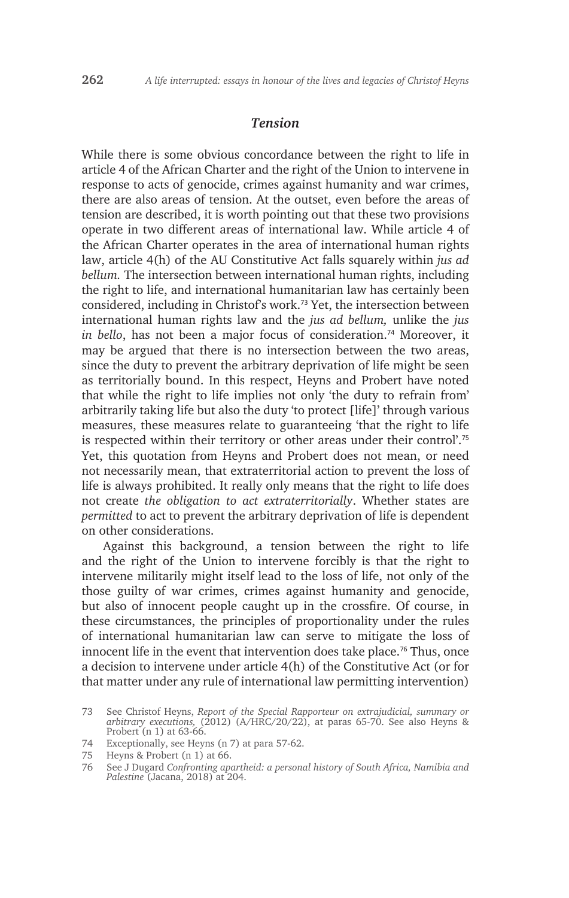#### *Tension*

While there is some obvious concordance between the right to life in article 4 of the African Charter and the right of the Union to intervene in response to acts of genocide, crimes against humanity and war crimes, there are also areas of tension. At the outset, even before the areas of tension are described, it is worth pointing out that these two provisions operate in two different areas of international law. While article 4 of the African Charter operates in the area of international human rights law, article 4(h) of the AU Constitutive Act falls squarely within *jus ad bellum.* The intersection between international human rights, including the right to life, and international humanitarian law has certainly been considered, including in Christof's work.73 Yet, the intersection between international human rights law and the *jus ad bellum,* unlike the *jus in bello*, has not been a major focus of consideration.<sup>74</sup> Moreover, it may be argued that there is no intersection between the two areas, since the duty to prevent the arbitrary deprivation of life might be seen as territorially bound. In this respect, Heyns and Probert have noted that while the right to life implies not only 'the duty to refrain from' arbitrarily taking life but also the duty 'to protect [life]' through various measures, these measures relate to guaranteeing 'that the right to life is respected within their territory or other areas under their control'.<sup>75</sup> Yet, this quotation from Heyns and Probert does not mean, or need not necessarily mean, that extraterritorial action to prevent the loss of life is always prohibited. It really only means that the right to life does not create *the obligation to act extraterritorially*. Whether states are *permitted* to act to prevent the arbitrary deprivation of life is dependent on other considerations.

Against this background, a tension between the right to life and the right of the Union to intervene forcibly is that the right to intervene militarily might itself lead to the loss of life, not only of the those guilty of war crimes, crimes against humanity and genocide, but also of innocent people caught up in the crossfire. Of course, in these circumstances, the principles of proportionality under the rules of international humanitarian law can serve to mitigate the loss of innocent life in the event that intervention does take place.<sup>76</sup> Thus, once a decision to intervene under article 4(h) of the Constitutive Act (or for that matter under any rule of international law permitting intervention)

74 Exceptionally, see Heyns (n 7) at para 57-62.

<sup>73</sup> See Christof Heyns, *Report of the Special Rapporteur on extrajudicial, summary or arbitrary executions,* (2012) (A/HRC/20/22), at paras 65-70. See also Heyns & Probert (n 1) at 63-66.

<sup>75</sup> Heyns & Probert (n 1) at 66.

<sup>76</sup> See J Dugard *Confronting apartheid: a personal history of South Africa, Namibia and Palestine* (Jacana, 2018) at 204.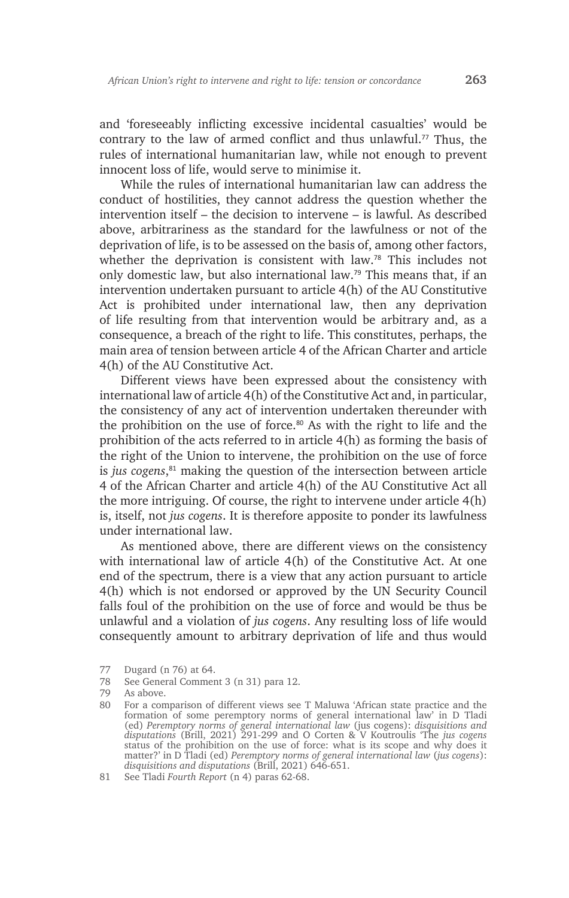and 'foreseeably inflicting excessive incidental casualties' would be contrary to the law of armed conflict and thus unlawful.<sup>77</sup> Thus, the rules of international humanitarian law, while not enough to prevent innocent loss of life, would serve to minimise it.

While the rules of international humanitarian law can address the conduct of hostilities, they cannot address the question whether the intervention itself – the decision to intervene – is lawful. As described above, arbitrariness as the standard for the lawfulness or not of the deprivation of life, is to be assessed on the basis of, among other factors, whether the deprivation is consistent with law.78 This includes not only domestic law, but also international law.79 This means that, if an intervention undertaken pursuant to article 4(h) of the AU Constitutive Act is prohibited under international law, then any deprivation of life resulting from that intervention would be arbitrary and, as a consequence, a breach of the right to life. This constitutes, perhaps, the main area of tension between article 4 of the African Charter and article 4(h) of the AU Constitutive Act.

Different views have been expressed about the consistency with international law of article 4(h) of the Constitutive Act and, in particular, the consistency of any act of intervention undertaken thereunder with the prohibition on the use of force.<sup>80</sup> As with the right to life and the prohibition of the acts referred to in article 4(h) as forming the basis of the right of the Union to intervene, the prohibition on the use of force is *jus cogens*, <sup>81</sup> making the question of the intersection between article 4 of the African Charter and article 4(h) of the AU Constitutive Act all the more intriguing. Of course, the right to intervene under article 4(h) is, itself, not *jus cogens*. It is therefore apposite to ponder its lawfulness under international law.

As mentioned above, there are different views on the consistency with international law of article 4(h) of the Constitutive Act. At one end of the spectrum, there is a view that any action pursuant to article 4(h) which is not endorsed or approved by the UN Security Council falls foul of the prohibition on the use of force and would be thus be unlawful and a violation of *jus cogens*. Any resulting loss of life would consequently amount to arbitrary deprivation of life and thus would

<sup>77</sup> Dugard (n 76) at 64.<br>78 See General Commer

See General Comment 3 (n 31) para 12.

<sup>79</sup> As above.

<sup>80</sup> For a comparison of different views see T Maluwa 'African state practice and the formation of some peremptory norms of general international law' in D Tladi (ed) *Peremptory norms of general international law* (jus cogens): *disquisitions and disputations* (Brill, 2021) 291-299 and O Corten & V Koutroulis 'The *jus cogens*  status of the prohibition on the use of force: what is its scope and why does it matter?' in D Tladi (ed) *Peremptory norms of general international law* (*jus cogens*): *disquisitions and disputations* (Brill, 2021) 646-651.

<sup>81</sup> See Tladi *Fourth Report* (n 4) paras 62-68.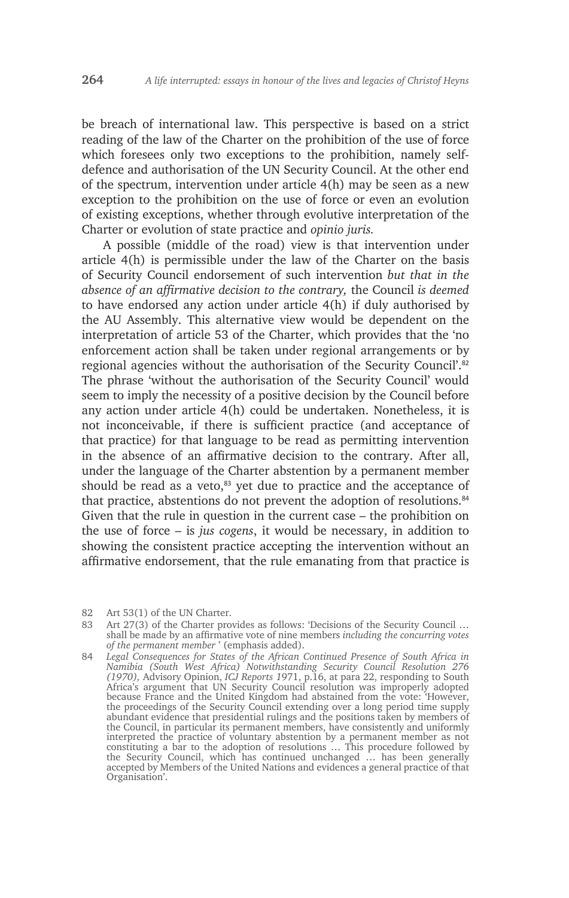be breach of international law. This perspective is based on a strict reading of the law of the Charter on the prohibition of the use of force which foresees only two exceptions to the prohibition, namely selfdefence and authorisation of the UN Security Council. At the other end of the spectrum, intervention under article 4(h) may be seen as a new exception to the prohibition on the use of force or even an evolution of existing exceptions, whether through evolutive interpretation of the Charter or evolution of state practice and *opinio juris.* 

A possible (middle of the road) view is that intervention under article 4(h) is permissible under the law of the Charter on the basis of Security Council endorsement of such intervention *but that in the absence of an affirmative decision to the contrary,* the Council *is deemed* to have endorsed any action under article 4(h) if duly authorised by the AU Assembly. This alternative view would be dependent on the interpretation of article 53 of the Charter, which provides that the 'no enforcement action shall be taken under regional arrangements or by regional agencies without the authorisation of the Security Council'.<sup>82</sup> The phrase 'without the authorisation of the Security Council' would seem to imply the necessity of a positive decision by the Council before any action under article 4(h) could be undertaken. Nonetheless, it is not inconceivable, if there is sufficient practice (and acceptance of that practice) for that language to be read as permitting intervention in the absence of an affirmative decision to the contrary. After all, under the language of the Charter abstention by a permanent member should be read as a veto, $83$  yet due to practice and the acceptance of that practice, abstentions do not prevent the adoption of resolutions.<sup>84</sup> Given that the rule in question in the current case – the prohibition on the use of force – is *jus cogens*, it would be necessary, in addition to showing the consistent practice accepting the intervention without an affirmative endorsement, that the rule emanating from that practice is

82 Art 53(1) of the UN Charter.

<sup>83</sup> Art 27(3) of the Charter provides as follows: 'Decisions of the Security Council ... shall be made by an affirmative vote of nine members *including the concurring votes of the permanent member* ' (emphasis added).

<sup>84</sup> *Legal Consequences for States of the African Continued Presence of South Africa in Namibia (South West Africa) Notwithstanding Security Council Resolution 276 (1970),* Advisory Opinion, *ICJ Reports 1*971, p.16, at para 22, responding to South Africa's argument that UN Security Council resolution was improperly adopted because France and the United Kingdom had abstained from the vote: 'However, the proceedings of the Security Council extending over a long period time supply abundant evidence that presidential rulings and the positions taken by members of the Council, in particular its permanent members, have consistently and uniformly interpreted the practice of voluntary abstention by a permanent member as not constituting a bar to the adoption of resolutions … This procedure followed by the Security Council, which has continued unchanged … has been generally accepted by Members of the United Nations and evidences a general practice of that Organisation'.